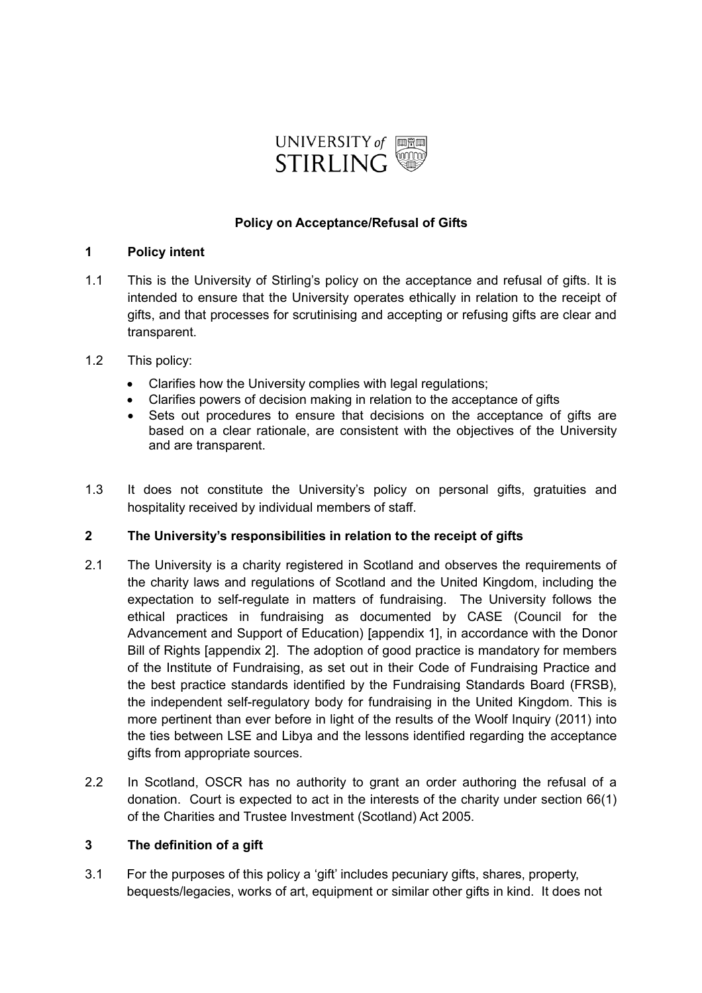

### **Policy on Acceptance/Refusal of Gifts**

#### **1 Policy intent**

- 1.1 This is the University of Stirling's policy on the acceptance and refusal of gifts. It is intended to ensure that the University operates ethically in relation to the receipt of gifts, and that processes for scrutinising and accepting or refusing gifts are clear and transparent.
- 1.2 This policy:
	- Clarifies how the University complies with legal regulations;
	- Clarifies powers of decision making in relation to the acceptance of gifts
	- Sets out procedures to ensure that decisions on the acceptance of gifts are based on a clear rationale, are consistent with the objectives of the University and are transparent.
- 1.3 It does not constitute the University's policy on personal gifts, gratuities and hospitality received by individual members of staff.

### **2 The University's responsibilities in relation to the receipt of gifts**

- 2.1 The University is a charity registered in Scotland and observes the requirements of the charity laws and regulations of Scotland and the United Kingdom, including the expectation to self-regulate in matters of fundraising. The University follows the ethical practices in fundraising as documented by CASE (Council for the Advancement and Support of Education) [appendix 1], in accordance with the Donor Bill of Rights [appendix 2]. The adoption of good practice is mandatory for members of the Institute of Fundraising, as set out in their Code of Fundraising Practice and the best practice standards identified by the Fundraising Standards Board (FRSB), the independent self-regulatory body for fundraising in the United Kingdom. This is more pertinent than ever before in light of the results of the Woolf Inquiry (2011) into the ties between LSE and Libya and the lessons identified regarding the acceptance gifts from appropriate sources.
- 2.2 In Scotland, OSCR has no authority to grant an order authoring the refusal of a donation. Court is expected to act in the interests of the charity under section 66(1) of the Charities and Trustee Investment (Scotland) Act 2005.

## **3 The definition of a gift**

3.1 For the purposes of this policy a 'gift' includes pecuniary gifts, shares, property, bequests/legacies, works of art, equipment or similar other gifts in kind. It does not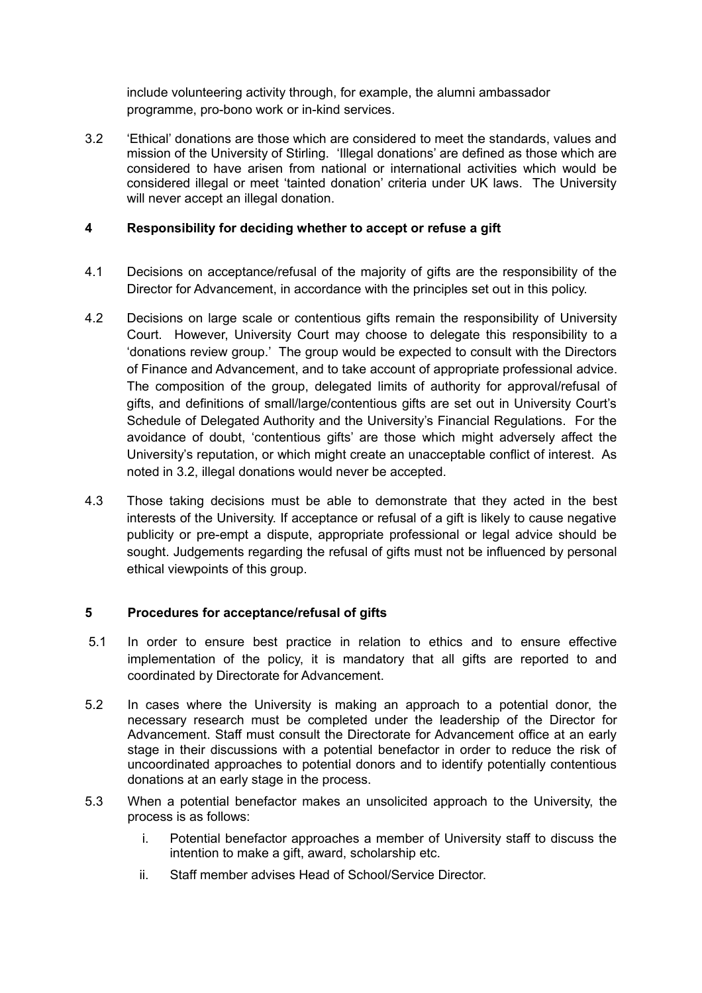include volunteering activity through, for example, the alumni ambassador programme, pro-bono work or in-kind services.

3.2 'Ethical' donations are those which are considered to meet the standards, values and mission of the University of Stirling. 'Illegal donations' are defined as those which are considered to have arisen from national or international activities which would be considered illegal or meet 'tainted donation' criteria under UK laws. The University will never accept an illegal donation.

## **4 Responsibility for deciding whether to accept or refuse a gift**

- 4.1 Decisions on acceptance/refusal of the majority of gifts are the responsibility of the Director for Advancement, in accordance with the principles set out in this policy.
- 4.2 Decisions on large scale or contentious gifts remain the responsibility of University Court. However, University Court may choose to delegate this responsibility to a 'donations review group.' The group would be expected to consult with the Directors of Finance and Advancement, and to take account of appropriate professional advice. The composition of the group, delegated limits of authority for approval/refusal of gifts, and definitions of small/large/contentious gifts are set out in University Court's Schedule of Delegated Authority and the University's Financial Regulations. For the avoidance of doubt, 'contentious gifts' are those which might adversely affect the University's reputation, or which might create an unacceptable conflict of interest. As noted in 3.2, illegal donations would never be accepted.
- 4.3 Those taking decisions must be able to demonstrate that they acted in the best interests of the University. If acceptance or refusal of a gift is likely to cause negative publicity or pre-empt a dispute, appropriate professional or legal advice should be sought. Judgements regarding the refusal of gifts must not be influenced by personal ethical viewpoints of this group.

### **5 Procedures for acceptance/refusal of gifts**

- 5.1 In order to ensure best practice in relation to ethics and to ensure effective implementation of the policy, it is mandatory that all gifts are reported to and coordinated by Directorate for Advancement.
- 5.2 In cases where the University is making an approach to a potential donor, the necessary research must be completed under the leadership of the Director for Advancement. Staff must consult the Directorate for Advancement office at an early stage in their discussions with a potential benefactor in order to reduce the risk of uncoordinated approaches to potential donors and to identify potentially contentious donations at an early stage in the process.
- 5.3 When a potential benefactor makes an unsolicited approach to the University, the process is as follows:
	- i. Potential benefactor approaches a member of University staff to discuss the intention to make a gift, award, scholarship etc.
	- ii. Staff member advises Head of School/Service Director.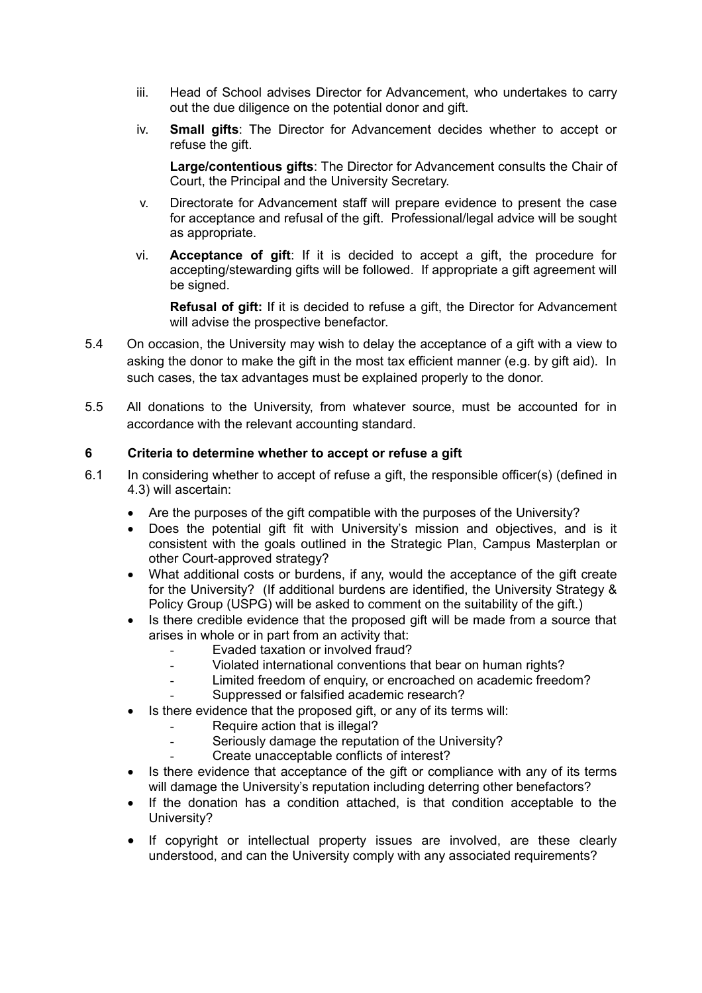- iii. Head of School advises Director for Advancement, who undertakes to carry out the due diligence on the potential donor and gift.
- iv. **Small gifts**: The Director for Advancement decides whether to accept or refuse the gift.

**Large/contentious gifts**: The Director for Advancement consults the Chair of Court, the Principal and the University Secretary.

- v. Directorate for Advancement staff will prepare evidence to present the case for acceptance and refusal of the gift. Professional/legal advice will be sought as appropriate.
- vi. **Acceptance of gift**: If it is decided to accept a gift, the procedure for accepting/stewarding gifts will be followed. If appropriate a gift agreement will be signed.

**Refusal of gift:** If it is decided to refuse a gift, the Director for Advancement will advise the prospective benefactor.

- 5.4 On occasion, the University may wish to delay the acceptance of a gift with a view to asking the donor to make the gift in the most tax efficient manner (e.g. by gift aid). In such cases, the tax advantages must be explained properly to the donor.
- 5.5 All donations to the University, from whatever source, must be accounted for in accordance with the relevant accounting standard.

### **6 Criteria to determine whether to accept or refuse a gift**

- 6.1 In considering whether to accept of refuse a gift, the responsible officer(s) (defined in 4.3) will ascertain:
	- Are the purposes of the gift compatible with the purposes of the University?
	- Does the potential gift fit with University's mission and objectives, and is it consistent with the goals outlined in the Strategic Plan, Campus Masterplan or other Court-approved strategy?
	- What additional costs or burdens, if any, would the acceptance of the gift create for the University? (If additional burdens are identified, the University Strategy & Policy Group (USPG) will be asked to comment on the suitability of the gift.)
	- Is there credible evidence that the proposed gift will be made from a source that arises in whole or in part from an activity that:
		- Evaded taxation or involved fraud?
		- Violated international conventions that bear on human rights?
		- Limited freedom of enquiry, or encroached on academic freedom?
		- Suppressed or falsified academic research?
	- Is there evidence that the proposed gift, or any of its terms will:
		- Require action that is illegal?
		- Seriously damage the reputation of the University?
		- Create unacceptable conflicts of interest?
	- Is there evidence that acceptance of the gift or compliance with any of its terms will damage the University's reputation including deterring other benefactors?
	- If the donation has a condition attached, is that condition acceptable to the University?
	- If copyright or intellectual property issues are involved, are these clearly understood, and can the University comply with any associated requirements?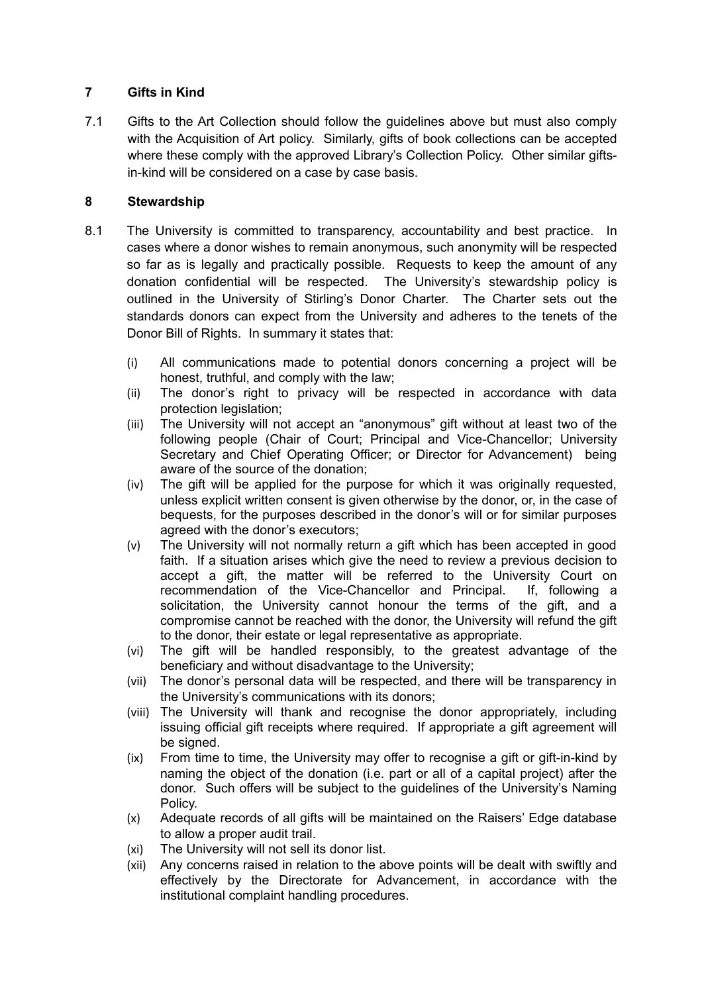## **7 Gifts in Kind**

7.1 Gifts to the Art Collection should follow the guidelines above but must also comply with the Acquisition of Art policy. Similarly, gifts of book collections can be accepted where these comply with the approved Library's Collection Policy. Other similar giftsin-kind will be considered on a case by case basis.

## **8 Stewardship**

- 8.1 The University is committed to transparency, accountability and best practice. In cases where a donor wishes to remain anonymous, such anonymity will be respected so far as is legally and practically possible. Requests to keep the amount of any donation confidential will be respected. The University's stewardship policy is outlined in the University of Stirling's Donor Charter. The Charter sets out the standards donors can expect from the University and adheres to the tenets of the Donor Bill of Rights. In summary it states that:
	- (i) All communications made to potential donors concerning a project will be honest, truthful, and comply with the law;
	- (ii) The donor's right to privacy will be respected in accordance with data protection legislation;
	- (iii) The University will not accept an "anonymous" gift without at least two of the following people (Chair of Court; Principal and Vice-Chancellor; University Secretary and Chief Operating Officer; or Director for Advancement) being aware of the source of the donation;
	- (iv) The gift will be applied for the purpose for which it was originally requested, unless explicit written consent is given otherwise by the donor, or, in the case of bequests, for the purposes described in the donor's will or for similar purposes agreed with the donor's executors;
	- (v) The University will not normally return a gift which has been accepted in good faith. If a situation arises which give the need to review a previous decision to accept a gift, the matter will be referred to the University Court on recommendation of the Vice-Chancellor and Principal. If, following a solicitation, the University cannot honour the terms of the gift, and a compromise cannot be reached with the donor, the University will refund the gift to the donor, their estate or legal representative as appropriate.
	- (vi) The gift will be handled responsibly, to the greatest advantage of the beneficiary and without disadvantage to the University;
	- (vii) The donor's personal data will be respected, and there will be transparency in the University's communications with its donors;
	- (viii) The University will thank and recognise the donor appropriately, including issuing official gift receipts where required. If appropriate a gift agreement will be signed.
	- (ix) From time to time, the University may offer to recognise a gift or gift-in-kind by naming the object of the donation (i.e. part or all of a capital project) after the donor. Such offers will be subject to the guidelines of the University's Naming Policy.
	- (x) Adequate records of all gifts will be maintained on the Raisers' Edge database to allow a proper audit trail.
	- (xi) The University will not sell its donor list.
	- (xii) Any concerns raised in relation to the above points will be dealt with swiftly and effectively by the Directorate for Advancement, in accordance with the institutional complaint handling procedures.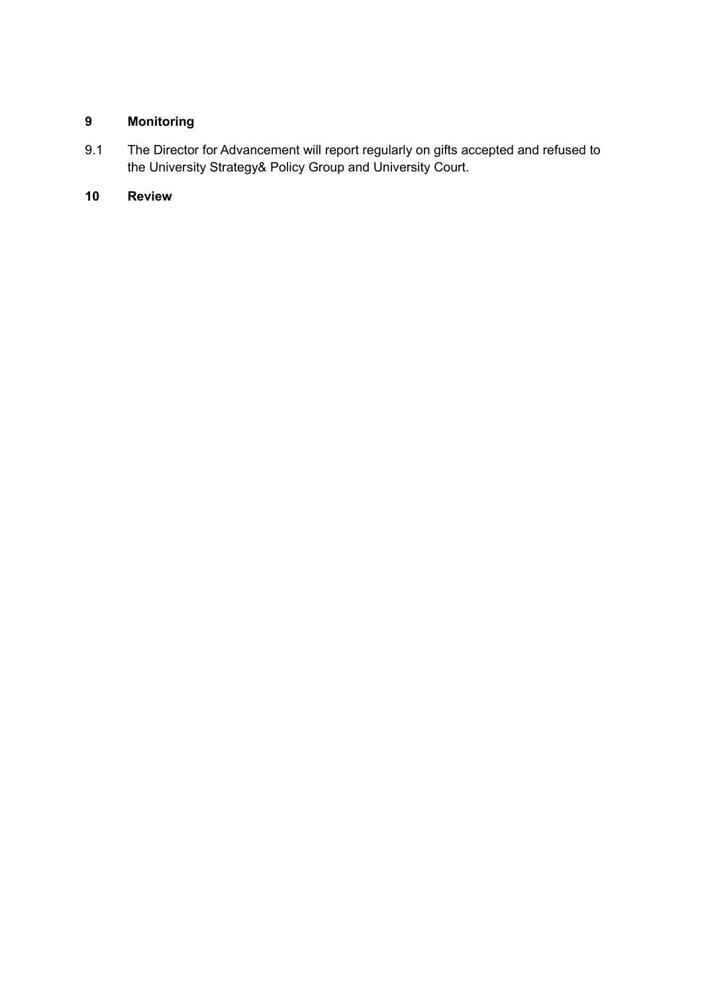# **9 Monitoring**

9.1 The Director for Advancement will report regularly on gifts accepted and refused to the University Strategy& Policy Group and University Court.

# **10 Review**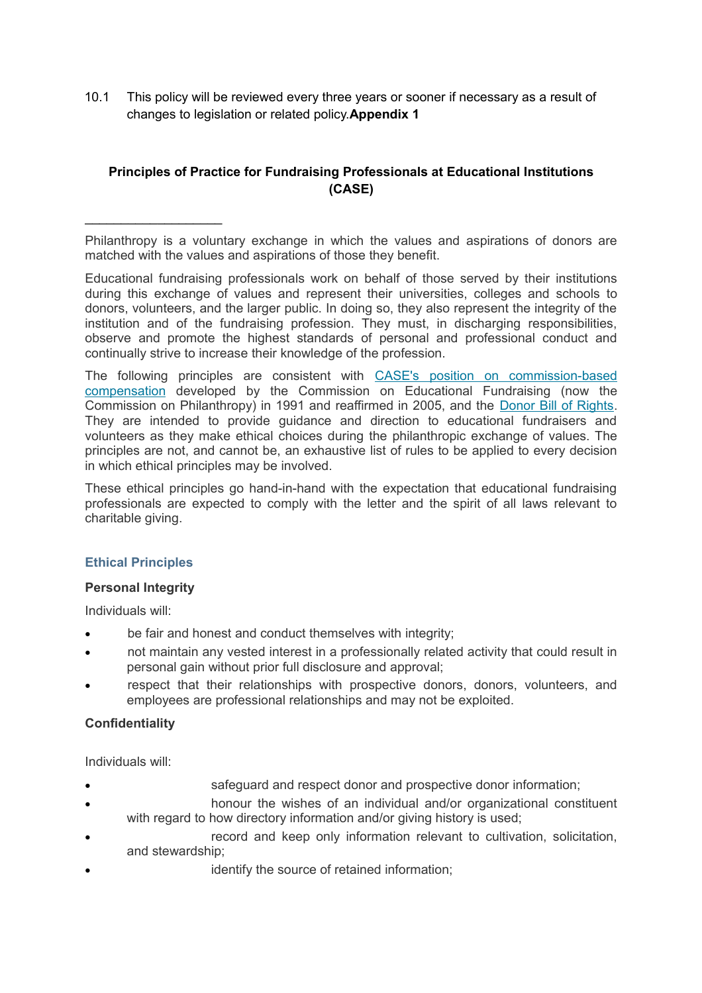10.1 This policy will be reviewed every three years or sooner if necessary as a result of changes to legislation or related policy.**Appendix 1**

# **Principles of Practice for Fundraising Professionals at Educational Institutions (CASE)**

Philanthropy is a voluntary exchange in which the values and aspirations of donors are matched with the values and aspirations of those they benefit.

Educational fundraising professionals work on behalf of those served by their institutions during this exchange of values and represent their universities, colleges and schools to donors, volunteers, and the larger public. In doing so, they also represent the integrity of the institution and of the fundraising profession. They must, in discharging responsibilities, observe and promote the highest standards of personal and professional conduct and continually strive to increase their knowledge of the profession.

The following principles are consistent with [CASE's position on commission-based](http://www.case.org/Samples_Research_and_Tools/Principles_of_Practice/CASE_Statements_on_Compensation_for_Fundraising_Performance.html) [compensation](http://www.case.org/Samples_Research_and_Tools/Principles_of_Practice/CASE_Statements_on_Compensation_for_Fundraising_Performance.html) developed by the Commission on Educational Fundraising (now the Commission on Philanthropy) in 1991 and reaffirmed in 2005, and the [Donor Bill of Rights.](http://www.case.org/Samples_Research_and_Tools/Principles_of_Practice/Donor_Bill_of_Rights.html) They are intended to provide guidance and direction to educational fundraisers and volunteers as they make ethical choices during the philanthropic exchange of values. The principles are not, and cannot be, an exhaustive list of rules to be applied to every decision in which ethical principles may be involved.

These ethical principles go hand-in-hand with the expectation that educational fundraising professionals are expected to comply with the letter and the spirit of all laws relevant to charitable giving.

# **Ethical Principles**

\_\_\_\_\_\_\_\_\_\_\_\_\_\_\_\_\_\_\_

### **Personal Integrity**

Individuals will:

- be fair and honest and conduct themselves with integrity;
- not maintain any vested interest in a professionally related activity that could result in personal gain without prior full disclosure and approval;
- respect that their relationships with prospective donors, donors, volunteers, and employees are professional relationships and may not be exploited.

# **Confidentiality**

Individuals will:

- safeguard and respect donor and prospective donor information;
- honour the wishes of an individual and/or organizational constituent with regard to how directory information and/or giving history is used;
- record and keep only information relevant to cultivation, solicitation, and stewardship;
	- identify the source of retained information;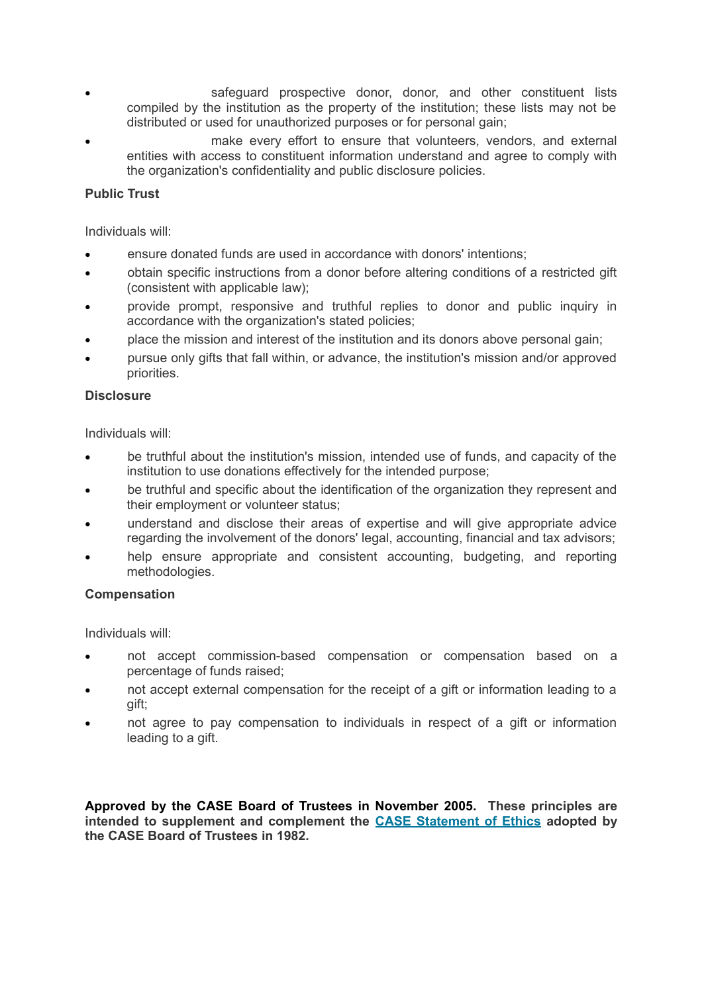- safeguard prospective donor, donor, and other constituent lists compiled by the institution as the property of the institution; these lists may not be distributed or used for unauthorized purposes or for personal gain;
- make every effort to ensure that volunteers, vendors, and external entities with access to constituent information understand and agree to comply with the organization's confidentiality and public disclosure policies.

# **Public Trust**

Individuals will:

- ensure donated funds are used in accordance with donors' intentions;
- obtain specific instructions from a donor before altering conditions of a restricted gift (consistent with applicable law);
- provide prompt, responsive and truthful replies to donor and public inquiry in accordance with the organization's stated policies;
- place the mission and interest of the institution and its donors above personal gain;
- pursue only gifts that fall within, or advance, the institution's mission and/or approved priorities.

### **Disclosure**

Individuals will:

- be truthful about the institution's mission, intended use of funds, and capacity of the institution to use donations effectively for the intended purpose;
- be truthful and specific about the identification of the organization they represent and their employment or volunteer status;
- understand and disclose their areas of expertise and will give appropriate advice regarding the involvement of the donors' legal, accounting, financial and tax advisors;
- help ensure appropriate and consistent accounting, budgeting, and reporting methodologies.

### **Compensation**

Individuals will:

- not accept commission-based compensation or compensation based on a percentage of funds raised;
- not accept external compensation for the receipt of a gift or information leading to a gift;
- not agree to pay compensation to individuals in respect of a gift or information leading to a gift.

**Approved by the CASE Board of Trustees in November 2005. These principles are intended to supplement and complement the [CASE Statement of Ethics](http://www.case.org/Samples_Research_and_Tools/Ethics_Resources_and_Issues/CASE_Statement_of_Ethics.html) adopted by the CASE Board of Trustees in 1982.**